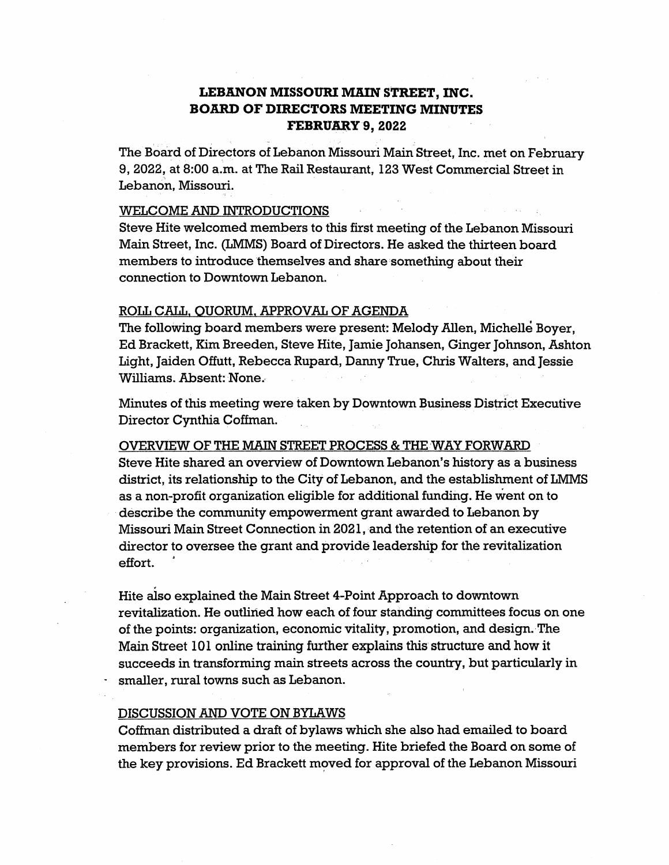# **LEBANON MISSOURI MAIN STREET, INC. BOARD OF DIRECTORS MEETING MINUTES FEBRUARY 9, 2022**

The Board of Directors of Lebanon Missouri Main Street, Inc. met on February 9, 2022, at 8:00 a.m. at The Rail Restaurant, 123 West Commercial Street in Lebanon, Missouri.

### WELCOME AND INTRODUCTIONS

Steve Hite welcomed members to this first meeting of the Lebanon Missouri Main Street, Inc. (LMMS) Board of Directors. He asked the thirteen board members to introduce themselves and share something about their connection to Downtown Lebanon.

### ROLL CALL, QUORUM, APPROVAL OF AGENDA

The following board members were present: Melody Allen, Michelle Boyer, Ed Brackett, Kim Breeden, Steve Hite, Jamie Johansen, Ginger Johnson, Ashton Light, Jaiden Offutt, Rebecca Rupard, Danny True, Chris Walters, and Jessie Williams. Absent: None.

Minutes of this meeting were taken by Downtown Business District Executive Director Cynthia Coffman.

OVERVIEW OF THE MAIN STREET PROCESS & THE WAY FORWARD Steve Hite shared an overview of Downtown Lebanon's history as a business district, its relationship to the City of Lebanon, and the establishment of LMMS as a non-profit organization eligible for additional funding. He went on to describe the community empowerment grant awarded to Lebanon by Missouri Main Street Connection in 2021, and the retention of an executive director to oversee the grant and provide leadership for the revitalization effort.

Hite also explained the Main Street 4-Point Approach to downtown revitalization. He outlined how each of four standing committees focus on one of the points: organization, economic vitality, promotion, and design.·The Main Street 101 online training further explains this structure and how it succeeds in transforming main streets across the country, but particularly in smaller, rural towns such as Lebanon.

### DISCUSSION AND VOTE ON BYLAWS

Coffman distributed a draft of bylaws which she also had emailed to board members for review prior to the meeting. Hite briefed the Board on some of the key provisions. Ed Brackett moved for approval of the Lebanon Missouri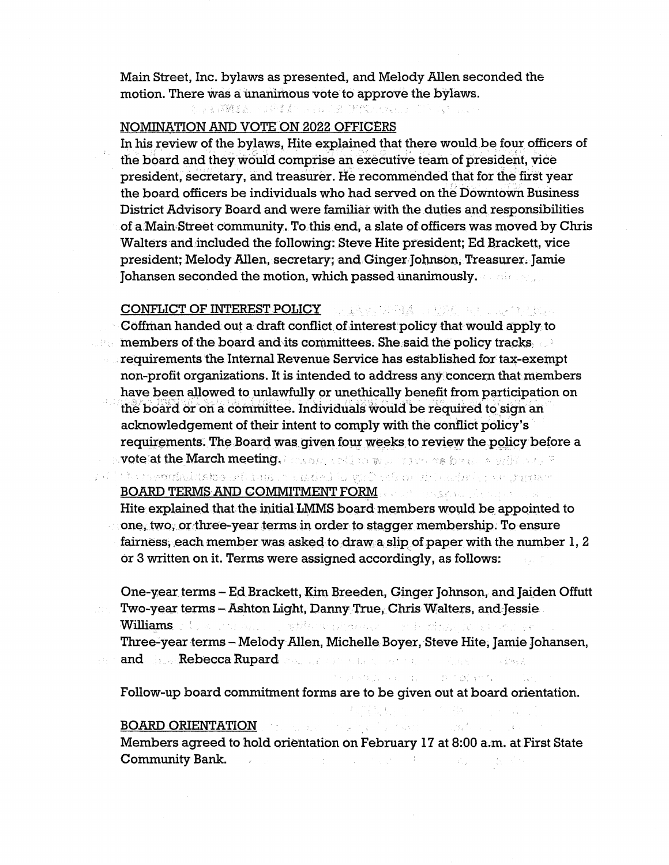Main Street, Inc. bylaws as presented, and Melody Allen seconded the motion. There was a unanimous vote to approve the bylaws.

## NOMINATION AND VOTE ON 2022 OFFICERS

In his review of the bylaws, Hite explained that there would be four officers of the board and they would comprise an executive team of president, vice president, secretary, and treasurer. He recommended that for the first year the board officers be individuals who had served on the Downtown Business District Advisory Board and were familiar with the duties and responsibilities ofa Main,Street community. To this end, a slate of officers was moved by Chris Walters and included the following: Steve Hite president; Ed Brackett, vice president; Melody Allen, secretary; and Ginger Johnson, Treasurer. Jamie Johansen seconded the motion, which passed unanimously. The same of

#### **CONFLICT OF INTEREST POLICY** and a series of the construction of the series of the series of the series of the series of the series of the series of the series of the series of the series of the series of the series of th

Coffman handed out a draft conflict of interest policy that would apply to members of the board and its committees. She said the policy tracks requirements the Internal Revenue Service has established for tax-exempt non-profit organizations. It is intended to address any concern that members have been allowed to unlawfully or unethically benefit from participation on the board or on a committee. Individuals would be required to sign an acknowledgement of their intent to comply with the conflict policy's requirements. The Board was given four weeks to review the policy before a wote at the March meeting. Fire and we have the working a spectrum of

r of it is streamhaid and sell is more statistic publishes able of the sequence of the second of the second se

## BOARD TERMS AND COMMITMENT FORM ENTITLED TO A RESIDENCE AND THE RESIDENCE OF A RESIDENCE OF A RESIDENCE OF A RESIDENCE OF A RESIDENCE OF A RESIDENCE OF A RESIDENCE OF A RESIDENCE OF A RESIDENCE OF A RESIDENCE OF A RESIDENC

Hite explained that the initial LMMS board members would be appointed to one, two, or three-year terms in order to stagger membership. To ensure fairness, each member was asked to draw a slip of paper with the number  $1, 2$ or 3 written on it. Terms were assigned accordingly, as follows:

One-year terms - Ed Brackett, Kim Breeden, Ginger Johnson, and Jaiden Offutt Two-year terms - Ashton Light, Danny True, Chris Walters, and Jessie Williams of the most agreed to without planned to the circle of the second second

Three-year terms - Melody Allen, Michelle Boyer, Steve Hite, Jamie Johansen, and **Rebecca Rupard** college the contract of the street

"大学家保证"以后"出口"。其中意识和有关。

 $\mathbb{Z}_{p^{m-1}}^{r}$  $\mathcal{A}^A$  ,  $\mathcal{A}$ 

Follow~up board commitment forms are to be given out at board orientation.

## **BOARD ORIENTATION**

Members agreed to hold orientation on February 17 at 8:00 a.m. at First State **Community Bank.** The process of the contract of the contract of the contract of the contract of the contract of the contract of the contract of the contract of the contract of the contract of the contract of the contract